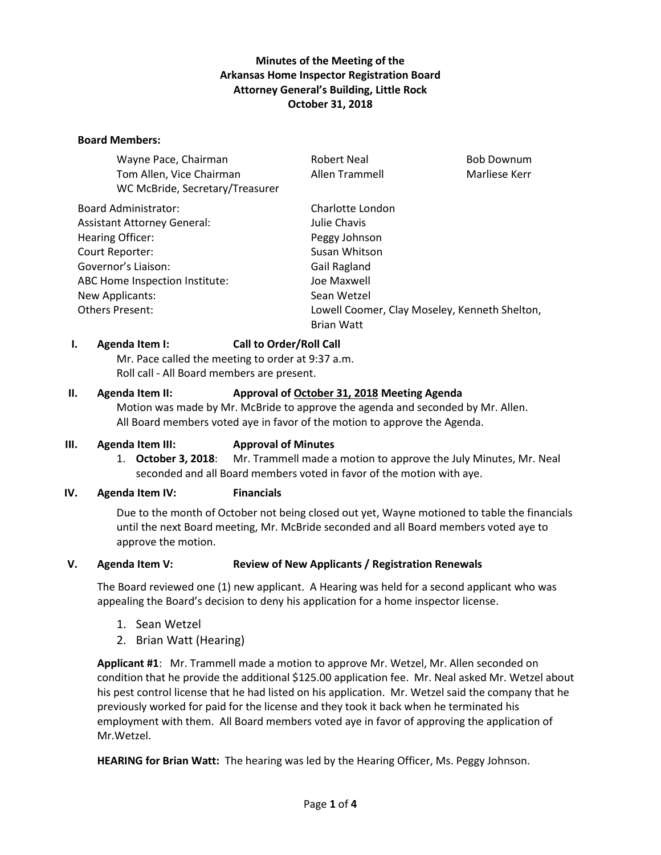## **Minutes of the Meeting of the Arkansas Home Inspector Registration Board Attorney General's Building, Little Rock October 31, 2018**

#### **Board Members:**

| <b>Robert Neal</b>                            | <b>Bob Downum</b> |
|-----------------------------------------------|-------------------|
| Allen Trammell                                | Marliese Kerr     |
|                                               |                   |
| Charlotte London                              |                   |
| Julie Chavis                                  |                   |
| Peggy Johnson                                 |                   |
| Susan Whitson                                 |                   |
| Gail Ragland                                  |                   |
| Joe Maxwell                                   |                   |
| Sean Wetzel                                   |                   |
| Lowell Coomer, Clay Moseley, Kenneth Shelton, |                   |
| <b>Brian Watt</b>                             |                   |
|                                               |                   |

#### **I. Agenda Item I: Call to Order/Roll Call**

Mr. Pace called the meeting to order at 9:37 a.m. Roll call - All Board members are present.

#### **II. Agenda Item II: Approval of October 31, 2018 Meeting Agenda**

Motion was made by Mr. McBride to approve the agenda and seconded by Mr. Allen. All Board members voted aye in favor of the motion to approve the Agenda.

#### **III. Agenda Item III: Approval of Minutes**

1. **October 3, 2018**: Mr. Trammell made a motion to approve the July Minutes, Mr. Neal seconded and all Board members voted in favor of the motion with aye.

#### **IV. Agenda Item IV: Financials**

Due to the month of October not being closed out yet, Wayne motioned to table the financials until the next Board meeting, Mr. McBride seconded and all Board members voted aye to approve the motion.

#### **V. Agenda Item V: Review of New Applicants / Registration Renewals**

The Board reviewed one (1) new applicant. A Hearing was held for a second applicant who was appealing the Board's decision to deny his application for a home inspector license.

- 1. Sean Wetzel
- 2. Brian Watt (Hearing)

**Applicant #1**: Mr. Trammell made a motion to approve Mr. Wetzel, Mr. Allen seconded on condition that he provide the additional \$125.00 application fee. Mr. Neal asked Mr. Wetzel about his pest control license that he had listed on his application. Mr. Wetzel said the company that he previously worked for paid for the license and they took it back when he terminated his employment with them. All Board members voted aye in favor of approving the application of Mr.Wetzel.

**HEARING for Brian Watt:** The hearing was led by the Hearing Officer, Ms. Peggy Johnson.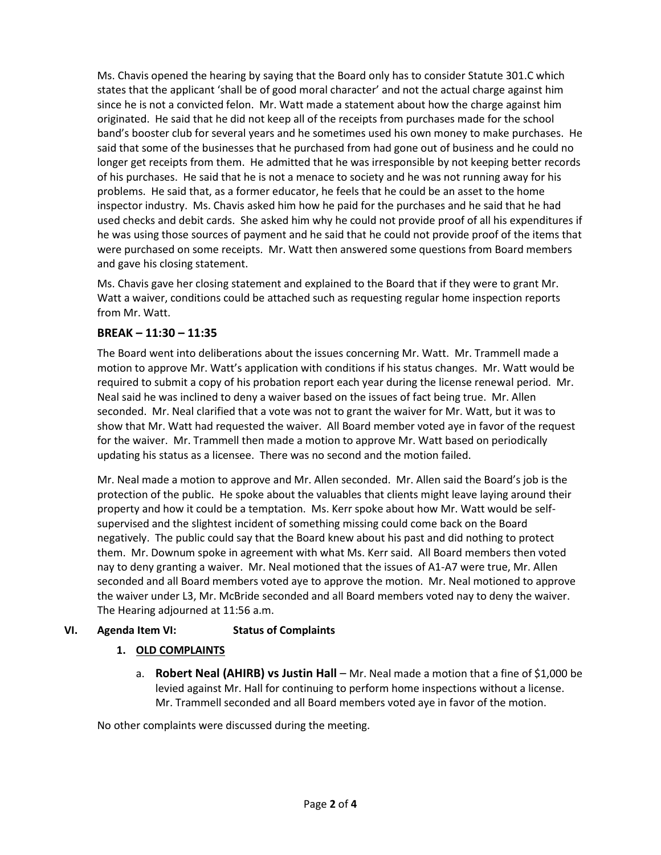Ms. Chavis opened the hearing by saying that the Board only has to consider Statute 301.C which states that the applicant 'shall be of good moral character' and not the actual charge against him since he is not a convicted felon. Mr. Watt made a statement about how the charge against him originated. He said that he did not keep all of the receipts from purchases made for the school band's booster club for several years and he sometimes used his own money to make purchases. He said that some of the businesses that he purchased from had gone out of business and he could no longer get receipts from them. He admitted that he was irresponsible by not keeping better records of his purchases. He said that he is not a menace to society and he was not running away for his problems. He said that, as a former educator, he feels that he could be an asset to the home inspector industry. Ms. Chavis asked him how he paid for the purchases and he said that he had used checks and debit cards. She asked him why he could not provide proof of all his expenditures if he was using those sources of payment and he said that he could not provide proof of the items that were purchased on some receipts. Mr. Watt then answered some questions from Board members and gave his closing statement.

Ms. Chavis gave her closing statement and explained to the Board that if they were to grant Mr. Watt a waiver, conditions could be attached such as requesting regular home inspection reports from Mr. Watt.

## **BREAK – 11:30 – 11:35**

The Board went into deliberations about the issues concerning Mr. Watt. Mr. Trammell made a motion to approve Mr. Watt's application with conditions if his status changes. Mr. Watt would be required to submit a copy of his probation report each year during the license renewal period. Mr. Neal said he was inclined to deny a waiver based on the issues of fact being true. Mr. Allen seconded. Mr. Neal clarified that a vote was not to grant the waiver for Mr. Watt, but it was to show that Mr. Watt had requested the waiver. All Board member voted aye in favor of the request for the waiver. Mr. Trammell then made a motion to approve Mr. Watt based on periodically updating his status as a licensee. There was no second and the motion failed.

Mr. Neal made a motion to approve and Mr. Allen seconded. Mr. Allen said the Board's job is the protection of the public. He spoke about the valuables that clients might leave laying around their property and how it could be a temptation. Ms. Kerr spoke about how Mr. Watt would be selfsupervised and the slightest incident of something missing could come back on the Board negatively. The public could say that the Board knew about his past and did nothing to protect them. Mr. Downum spoke in agreement with what Ms. Kerr said. All Board members then voted nay to deny granting a waiver. Mr. Neal motioned that the issues of A1-A7 were true, Mr. Allen seconded and all Board members voted aye to approve the motion. Mr. Neal motioned to approve the waiver under L3, Mr. McBride seconded and all Board members voted nay to deny the waiver. The Hearing adjourned at 11:56 a.m.

## **VI. Agenda Item VI: Status of Complaints**

## **1. OLD COMPLAINTS**

a. **Robert Neal (AHIRB) vs Justin Hall** – Mr. Neal made a motion that a fine of \$1,000 be levied against Mr. Hall for continuing to perform home inspections without a license. Mr. Trammell seconded and all Board members voted aye in favor of the motion.

No other complaints were discussed during the meeting.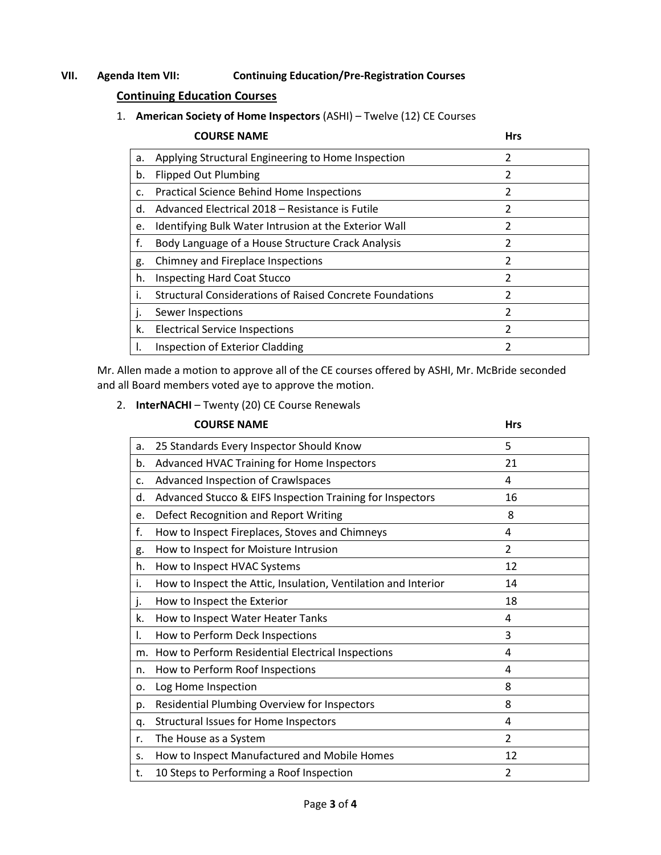## **VII. Agenda Item VII: Continuing Education/Pre-Registration Courses**

# **Continuing Education Courses**

1. **American Society of Home Inspectors** (ASHI) – Twelve (12) CE Courses

|              | <b>COURSE NAME</b>                                              | <b>Hrs</b>              |
|--------------|-----------------------------------------------------------------|-------------------------|
| a.           | Applying Structural Engineering to Home Inspection              | 2                       |
| b.           | <b>Flipped Out Plumbing</b>                                     | $\overline{\mathbf{c}}$ |
| c.           | <b>Practical Science Behind Home Inspections</b>                | $\mathcal{P}$           |
| d.           | Advanced Electrical 2018 - Resistance is Futile                 | 2                       |
| e.           | Identifying Bulk Water Intrusion at the Exterior Wall           | 2                       |
| f.           | Body Language of a House Structure Crack Analysis               | $\mathfrak z$           |
| g.           | Chimney and Fireplace Inspections                               | $\overline{\mathbf{c}}$ |
| h.           | <b>Inspecting Hard Coat Stucco</b>                              | $\mathfrak z$           |
| Τ.           | <b>Structural Considerations of Raised Concrete Foundations</b> | $\overline{2}$          |
| $\mathbf{I}$ | Sewer Inspections                                               | $\overline{\mathbf{c}}$ |
| k.           | <b>Electrical Service Inspections</b>                           | $\mathfrak z$           |
| I.           | Inspection of Exterior Cladding                                 | 2                       |

Mr. Allen made a motion to approve all of the CE courses offered by ASHI, Mr. McBride seconded and all Board members voted aye to approve the motion.

|  |  | 2. InterNACHI - Twenty (20) CE Course Renewals |
|--|--|------------------------------------------------|
|--|--|------------------------------------------------|

|    | <b>COURSE NAME</b>                                             | <b>Hrs</b>     |
|----|----------------------------------------------------------------|----------------|
| a. | 25 Standards Every Inspector Should Know                       | 5              |
| b. | Advanced HVAC Training for Home Inspectors                     | 21             |
| c. | Advanced Inspection of Crawlspaces                             | 4              |
| d. | Advanced Stucco & EIFS Inspection Training for Inspectors      | 16             |
| e. | Defect Recognition and Report Writing                          | 8              |
| f. | How to Inspect Fireplaces, Stoves and Chimneys                 | 4              |
| g. | How to Inspect for Moisture Intrusion                          | $\overline{2}$ |
| h. | How to Inspect HVAC Systems                                    | 12             |
| i. | How to Inspect the Attic, Insulation, Ventilation and Interior | 14             |
| j. | How to Inspect the Exterior                                    | 18             |
| k. | How to Inspect Water Heater Tanks                              | 4              |
| I. | How to Perform Deck Inspections                                | 3              |
| m. | How to Perform Residential Electrical Inspections              | 4              |
| n. | How to Perform Roof Inspections                                | 4              |
| 0. | Log Home Inspection                                            | 8              |
| p. | Residential Plumbing Overview for Inspectors                   | 8              |
| q. | Structural Issues for Home Inspectors                          | 4              |
| r. | The House as a System                                          | $\overline{2}$ |
| S. | How to Inspect Manufactured and Mobile Homes                   | 12             |
| t. | 10 Steps to Performing a Roof Inspection                       | $\overline{2}$ |